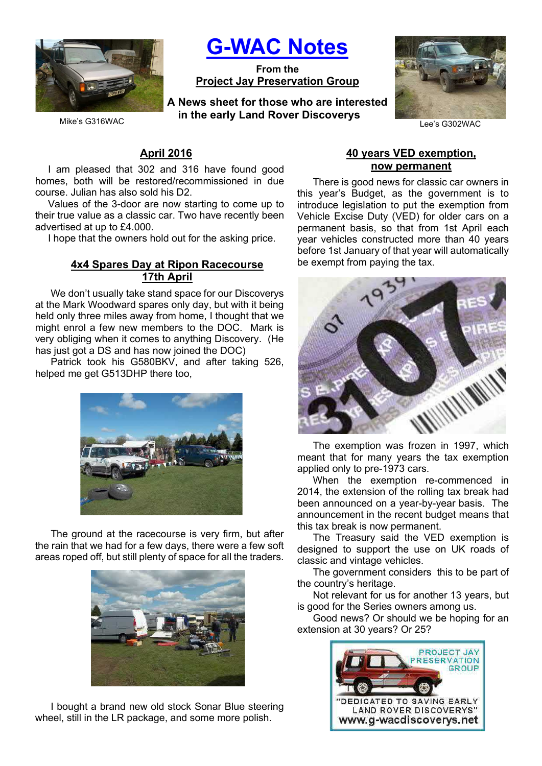

G-WAC Notes

From the Project Jay Preservation Group

Mike's G316WAC **Example 1999 The Callum** Carter Construction Discussed Value Callum Lee's G302WAC A News sheet for those who are interested in the early Land Rover Discoverys



## April 2016

I am pleased that 302 and 316 have found good homes, both will be restored/recommissioned in due course. Julian has also sold his D2.

Values of the 3-door are now starting to come up to their true value as a classic car. Two have recently been advertised at up to £4.000.

I hope that the owners hold out for the asking price.

#### 4x4 Spares Day at Ripon Racecourse 17th April

We don't usually take stand space for our Discoverys at the Mark Woodward spares only day, but with it being held only three miles away from home, I thought that we might enrol a few new members to the DOC. Mark is very obliging when it comes to anything Discovery. (He has just got a DS and has now joined the DOC)

Patrick took his G580BKV, and after taking 526, helped me get G513DHP there too,



The ground at the racecourse is very firm, but after the rain that we had for a few days, there were a few soft areas roped off, but still plenty of space for all the traders.



I bought a brand new old stock Sonar Blue steering wheel, still in the LR package, and some more polish.

#### 40 years VED exemption, now permanent

There is good news for classic car owners in this year's Budget, as the government is to introduce legislation to put the exemption from Vehicle Excise Duty (VED) for older cars on a permanent basis, so that from 1st April each year vehicles constructed more than 40 years before 1st January of that year will automatically be exempt from paying the tax.



The exemption was frozen in 1997, which meant that for many years the tax exemption applied only to pre-1973 cars.

When the exemption re-commenced in 2014, the extension of the rolling tax break had been announced on a year-by-year basis. The announcement in the recent budget means that this tax break is now permanent.

The Treasury said the VED exemption is designed to support the use on UK roads of classic and vintage vehicles.

The government considers this to be part of the country's heritage.

Not relevant for us for another 13 years, but is good for the Series owners among us.

Good news? Or should we be hoping for an extension at 30 years? Or 25?

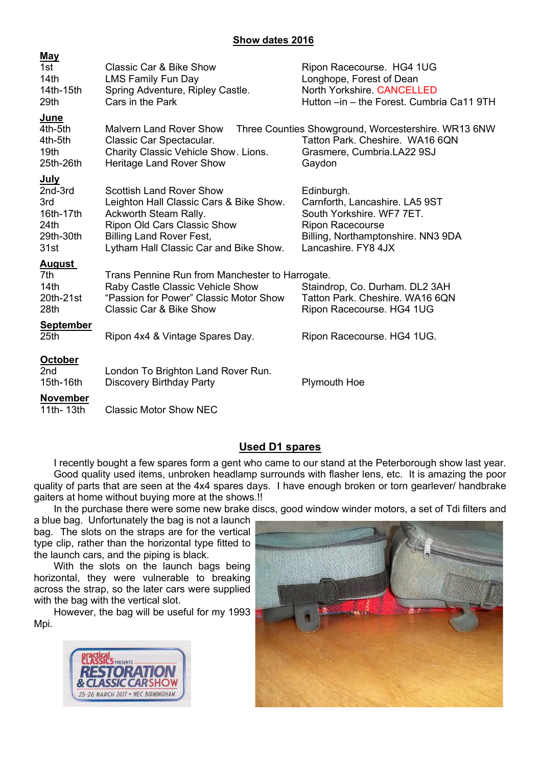## Show dates 2016

| <u>May</u><br>1st<br>14 <sub>th</sub><br>14th-15th<br>29th                          | <b>Classic Car &amp; Bike Show</b><br><b>LMS Family Fun Day</b><br>Spring Adventure, Ripley Castle.<br>Cars in the Park                                                                                         | Ripon Racecourse. HG4 1UG<br>Longhope, Forest of Dean<br>North Yorkshire. CANCELLED<br>Hutton -in - the Forest. Cumbria Ca11 9TH                                  |
|-------------------------------------------------------------------------------------|-----------------------------------------------------------------------------------------------------------------------------------------------------------------------------------------------------------------|-------------------------------------------------------------------------------------------------------------------------------------------------------------------|
| <u>June</u><br>4th-5th<br>4th-5th<br>19th<br>25th-26th                              | <b>Malvern Land Rover Show</b><br>Classic Car Spectacular.<br>Charity Classic Vehicle Show. Lions.<br>Heritage Land Rover Show                                                                                  | Three Counties Showground, Worcestershire. WR13 6NW<br>Tatton Park. Cheshire. WA16 6QN<br>Grasmere, Cumbria.LA22 9SJ<br>Gaydon                                    |
| <b>July</b><br>2nd-3rd<br>3rd<br>16th-17th<br>24 <sub>th</sub><br>29th-30th<br>31st | <b>Scottish Land Rover Show</b><br>Leighton Hall Classic Cars & Bike Show.<br>Ackworth Steam Rally.<br>Ripon Old Cars Classic Show<br><b>Billing Land Rover Fest,</b><br>Lytham Hall Classic Car and Bike Show. | Edinburgh.<br>Carnforth, Lancashire. LA5 9ST<br>South Yorkshire. WF7 7ET.<br><b>Ripon Racecourse</b><br>Billing, Northamptonshire. NN3 9DA<br>Lancashire, FY8 4JX |
| <u>August</u><br>7th<br>14 <sub>th</sub><br>20th-21st<br>28th<br><b>September</b>   | Trans Pennine Run from Manchester to Harrogate.<br>Raby Castle Classic Vehicle Show<br>"Passion for Power" Classic Motor Show<br><b>Classic Car &amp; Bike Show</b>                                             | Staindrop, Co. Durham. DL2 3AH<br>Tatton Park, Cheshire, WA16 6QN<br>Ripon Racecourse. HG4 1UG                                                                    |
| 25 <sub>th</sub>                                                                    | Ripon 4x4 & Vintage Spares Day.                                                                                                                                                                                 | Ripon Racecourse. HG4 1UG.                                                                                                                                        |
| <b>October</b><br>2nd<br>15th-16th                                                  | London To Brighton Land Rover Run.<br><b>Discovery Birthday Party</b>                                                                                                                                           | <b>Plymouth Hoe</b>                                                                                                                                               |
| November<br>11th- 13th                                                              | <b>Classic Motor Show NEC</b>                                                                                                                                                                                   |                                                                                                                                                                   |

# Used D1 spares

I recently bought a few spares form a gent who came to our stand at the Peterborough show last year. Good quality used items, unbroken headlamp surrounds with flasher lens, etc. It is amazing the poor quality of parts that are seen at the 4x4 spares days. I have enough broken or torn gearlever/ handbrake gaiters at home without buying more at the shows.!!

In the purchase there were some new brake discs, good window winder motors, a set of Tdi filters and

a blue bag. Unfortunately the bag is not a launch bag. The slots on the straps are for the vertical type clip, rather than the horizontal type fitted to the launch cars, and the piping is black.

With the slots on the launch bags being horizontal, they were vulnerable to breaking across the strap, so the later cars were supplied with the bag with the vertical slot.

However, the bag will be useful for my 1993 Mpi.



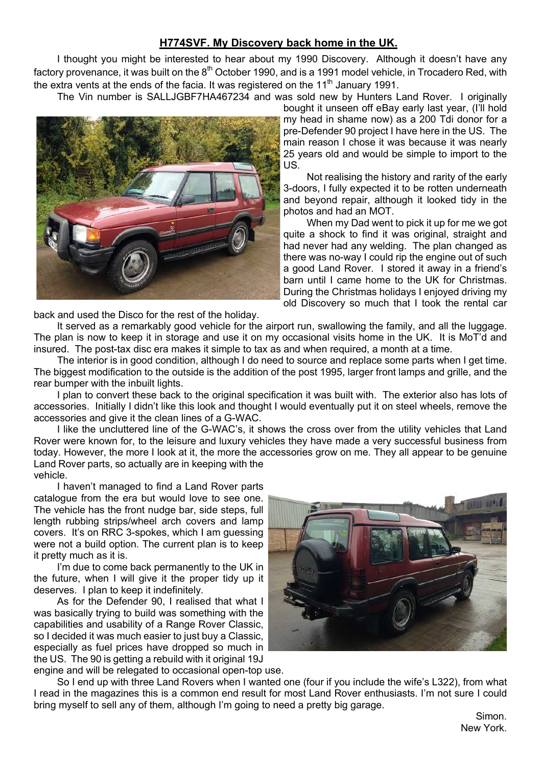# H774SVF. My Discovery back home in the UK.

I thought you might be interested to hear about my 1990 Discovery. Although it doesn't have any factory provenance, it was built on the 8<sup>th</sup> October 1990, and is a 1991 model vehicle, in Trocadero Red, with the extra vents at the ends of the facia. It was registered on the  $11<sup>th</sup>$  January 1991.

The Vin number is SALLJGBF7HA467234 and was sold new by Hunters Land Rover. I originally



bought it unseen off eBay early last year, (I'll hold my head in shame now) as a 200 Tdi donor for a pre-Defender 90 project I have here in the US. The main reason I chose it was because it was nearly 25 years old and would be simple to import to the US.

Not realising the history and rarity of the early 3-doors, I fully expected it to be rotten underneath and beyond repair, although it looked tidy in the photos and had an MOT.

When my Dad went to pick it up for me we got quite a shock to find it was original, straight and had never had any welding. The plan changed as there was no-way I could rip the engine out of such a good Land Rover. I stored it away in a friend's barn until I came home to the UK for Christmas. During the Christmas holidays I enjoyed driving my old Discovery so much that I took the rental car

back and used the Disco for the rest of the holiday.

It served as a remarkably good vehicle for the airport run, swallowing the family, and all the luggage. The plan is now to keep it in storage and use it on my occasional visits home in the UK. It is MoT'd and insured. The post-tax disc era makes it simple to tax as and when required, a month at a time.

The interior is in good condition, although I do need to source and replace some parts when I get time. The biggest modification to the outside is the addition of the post 1995, larger front lamps and grille, and the rear bumper with the inbuilt lights.

I plan to convert these back to the original specification it was built with. The exterior also has lots of accessories. Initially I didn't like this look and thought I would eventually put it on steel wheels, remove the accessories and give it the clean lines of a G-WAC.

I like the uncluttered line of the G-WAC's, it shows the cross over from the utility vehicles that Land Rover were known for, to the leisure and luxury vehicles they have made a very successful business from today. However, the more I look at it, the more the accessories grow on me. They all appear to be genuine Land Rover parts, so actually are in keeping with the vehicle.

I haven't managed to find a Land Rover parts catalogue from the era but would love to see one. The vehicle has the front nudge bar, side steps, full length rubbing strips/wheel arch covers and lamp covers. It's on RRC 3-spokes, which I am guessing were not a build option. The current plan is to keep it pretty much as it is.

I'm due to come back permanently to the UK in the future, when I will give it the proper tidy up it deserves. I plan to keep it indefinitely.

As for the Defender 90, I realised that what I was basically trying to build was something with the capabilities and usability of a Range Rover Classic, so I decided it was much easier to just buy a Classic, especially as fuel prices have dropped so much in the US. The 90 is getting a rebuild with it original 19J engine and will be relegated to occasional open-top use.



So I end up with three Land Rovers when I wanted one (four if you include the wife's L322), from what I read in the magazines this is a common end result for most Land Rover enthusiasts. I'm not sure I could bring myself to sell any of them, although I'm going to need a pretty big garage.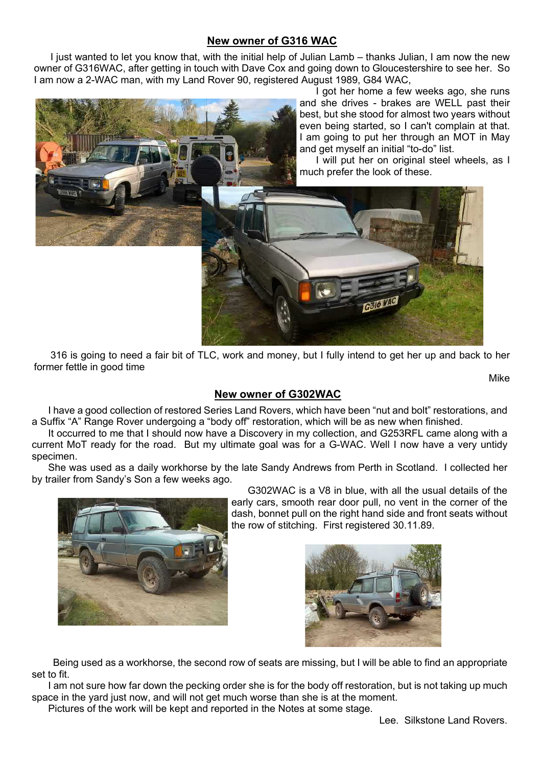## New owner of G316 WAC

I just wanted to let you know that, with the initial help of Julian Lamb – thanks Julian, I am now the new owner of G316WAC, after getting in touch with Dave Cox and going down to Gloucestershire to see her. So I am now a 2-WAC man, with my Land Rover 90, registered August 1989, G84 WAC,



I got her home a few weeks ago, she runs and she drives - brakes are WELL past their best, but she stood for almost two years without even being started, so I can't complain at that. I am going to put her through an MOT in May and get myself an initial "to-do" list.

I will put her on original steel wheels, as I much prefer the look of these.



316 is going to need a fair bit of TLC, work and money, but I fully intend to get her up and back to her former fettle in good time

Mike

# New owner of G302WAC

I have a good collection of restored Series Land Rovers, which have been "nut and bolt" restorations, and a Suffix "A" Range Rover undergoing a "body off" restoration, which will be as new when finished.

It occurred to me that I should now have a Discovery in my collection, and G253RFL came along with a current MoT ready for the road. But my ultimate goal was for a G-WAC. Well I now have a very untidy specimen.

She was used as a daily workhorse by the late Sandy Andrews from Perth in Scotland. I collected her by trailer from Sandy's Son a few weeks ago.



G302WAC is a V8 in blue, with all the usual details of the early cars, smooth rear door pull, no vent in the corner of the dash, bonnet pull on the right hand side and front seats without the row of stitching. First registered 30.11.89.



 Being used as a workhorse, the second row of seats are missing, but I will be able to find an appropriate set to fit.

I am not sure how far down the pecking order she is for the body off restoration, but is not taking up much space in the yard just now, and will not get much worse than she is at the moment.

Pictures of the work will be kept and reported in the Notes at some stage.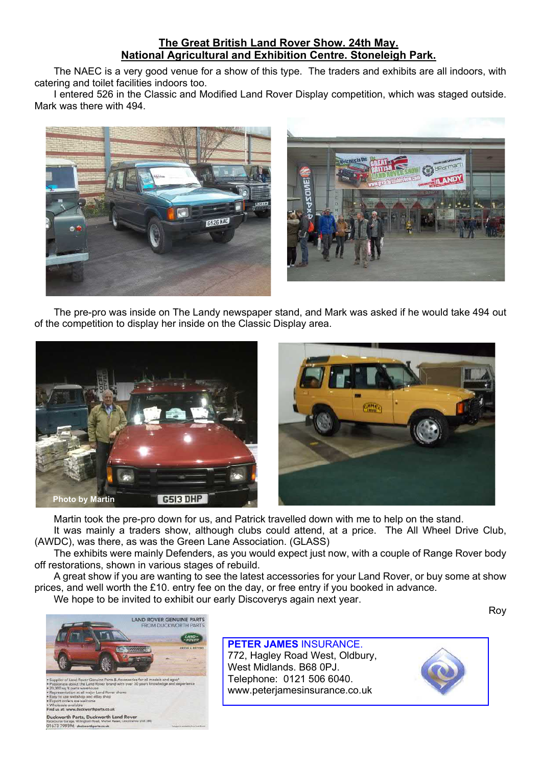# The Great British Land Rover Show. 24th May. National Agricultural and Exhibition Centre. Stoneleigh Park.

The NAEC is a very good venue for a show of this type. The traders and exhibits are all indoors, with catering and toilet facilities indoors too.

I entered 526 in the Classic and Modified Land Rover Display competition, which was staged outside. Mark was there with 494.





The pre-pro was inside on The Landy newspaper stand, and Mark was asked if he would take 494 out of the competition to display her inside on the Classic Display area.



Martin took the pre-pro down for us, and Patrick travelled down with me to help on the stand.

It was mainly a traders show, although clubs could attend, at a price. The All Wheel Drive Club, (AWDC), was there, as was the Green Lane Association. (GLASS)

The exhibits were mainly Defenders, as you would expect just now, with a couple of Range Rover body off restorations, shown in various stages of rebuild.

A great show if you are wanting to see the latest accessories for your Land Rover, or buy some at show prices, and well worth the £10. entry fee on the day, or free entry if you booked in advance. We hope to be invited to exhibit our early Discoverys again next year.

Roy



#### PETER JAMES INSURANCE.

772, Hagley Road West, Oldbury, West Midlands. B68 0PJ. Telephone: 0121 506 6040. www.peterjamesinsurance.co.uk